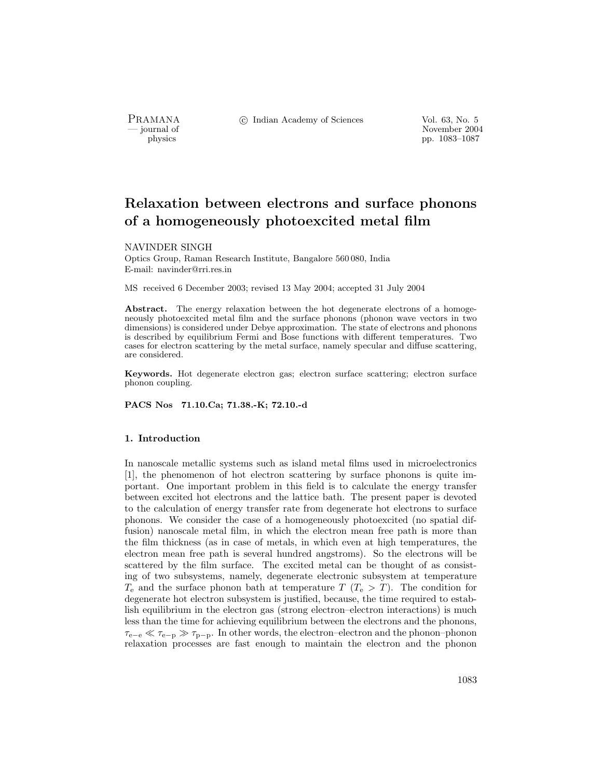PRAMANA °c Indian Academy of Sciences Vol. 63, No. 5

purnal of November 2004<br>
pp. 1083–1087<br>
pp. 1083–1087 pp. 1083–1087

# Relaxation between electrons and surface phonons of a homogeneously photoexcited metal film

### NAVINDER SINGH

Optics Group, Raman Research Institute, Bangalore 560 080, India E-mail: navinder@rri.res.in

MS received 6 December 2003; revised 13 May 2004; accepted 31 July 2004

Abstract. The energy relaxation between the hot degenerate electrons of a homogeneously photoexcited metal film and the surface phonons (phonon wave vectors in two dimensions) is considered under Debye approximation. The state of electrons and phonons is described by equilibrium Fermi and Bose functions with different temperatures. Two cases for electron scattering by the metal surface, namely specular and diffuse scattering, are considered.

Keywords. Hot degenerate electron gas; electron surface scattering; electron surface phonon coupling.

PACS Nos 71.10.Ca; 71.38.-K; 72.10.-d

## 1. Introduction

In nanoscale metallic systems such as island metal films used in microelectronics [1], the phenomenon of hot electron scattering by surface phonons is quite important. One important problem in this field is to calculate the energy transfer between excited hot electrons and the lattice bath. The present paper is devoted to the calculation of energy transfer rate from degenerate hot electrons to surface phonons. We consider the case of a homogeneously photoexcited (no spatial diffusion) nanoscale metal film, in which the electron mean free path is more than the film thickness (as in case of metals, in which even at high temperatures, the electron mean free path is several hundred angstroms). So the electrons will be scattered by the film surface. The excited metal can be thought of as consisting of two subsystems, namely, degenerate electronic subsystem at temperature  $T_e$  and the surface phonon bath at temperature  $T(T_e > T)$ . The condition for degenerate hot electron subsystem is justified, because, the time required to establish equilibrium in the electron gas (strong electron–electron interactions) is much less than the time for achieving equilibrium between the electrons and the phonons,  $\tau_{e-e} \ll \tau_{e-p} \gg \tau_{p-p}$ . In other words, the electron–electron and the phonon–phonon relaxation processes are fast enough to maintain the electron and the phonon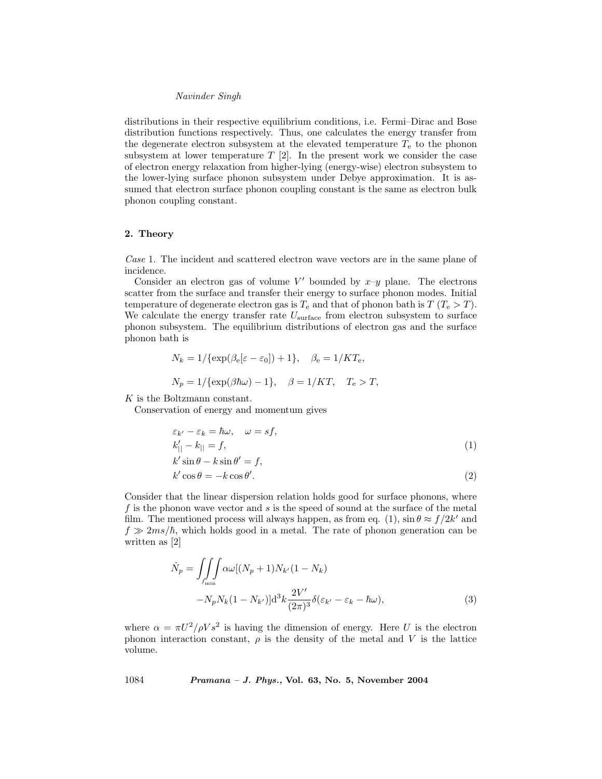#### Navinder Singh

distributions in their respective equilibrium conditions, i.e. Fermi–Dirac and Bose distribution functions respectively. Thus, one calculates the energy transfer from the degenerate electron subsystem at the elevated temperature  $T_e$  to the phonon subsystem at lower temperature  $T$  [2]. In the present work we consider the case of electron energy relaxation from higher-lying (energy-wise) electron subsystem to the lower-lying surface phonon subsystem under Debye approximation. It is assumed that electron surface phonon coupling constant is the same as electron bulk phonon coupling constant.

#### 2. Theory

Case 1. The incident and scattered electron wave vectors are in the same plane of incidence.

Consider an electron gas of volume V' bounded by  $x-y$  plane. The electrons scatter from the surface and transfer their energy to surface phonon modes. Initial temperature of degenerate electron gas is  $T_e$  and that of phonon bath is  $T(T_e > T)$ . We calculate the energy transfer rate  $U_{\text{surface}}$  from electron subsystem to surface phonon subsystem. The equilibrium distributions of electron gas and the surface phonon bath is

$$
N_k = 1/\{\exp(\beta_e[\varepsilon - \varepsilon_0]) + 1\}, \quad \beta_e = 1/KT_e,
$$
  

$$
N_p = 1/\{\exp(\beta \hbar \omega) - 1\}, \quad \beta = 1/KT, \quad T_e > T,
$$

K is the Boltzmann constant.

Conservation of energy and momentum gives

$$
\varepsilon_{k'} - \varepsilon_k = \hbar \omega, \quad \omega = s f,
$$
  
\n
$$
k'_{\parallel} - k_{\parallel} = f,
$$
  
\n
$$
k' \sin \theta - k \sin \theta' = f,
$$
  
\n
$$
k' \cos \theta = -k \cos \theta'.
$$
  
\n(2)

Consider that the linear dispersion relation holds good for surface phonons, where  $f$  is the phonon wave vector and  $s$  is the speed of sound at the surface of the metal film. The mentioned process will always happen, as from eq. (1),  $\sin \theta \approx f/2k'$  and  $f \gg 2ms/\hbar$ , which holds good in a metal. The rate of phonon generation can be written as [2]

$$
\dot{N}_p = \iiint_{f_{\min}} \alpha \omega [(N_p + 1)N_{k'}(1 - N_k) - N_p N_k(1 - N_{k'})] \mathrm{d}^3 k \frac{2V'}{(2\pi)^3} \delta(\varepsilon_{k'} - \varepsilon_k - \hbar \omega),\tag{3}
$$

where  $\alpha = \pi U^2 / \rho V s^2$  is having the dimension of energy. Here U is the electron phonon interaction constant,  $\rho$  is the density of the metal and V is the lattice volume.

1084 Pramana – J. Phys., Vol. 63, No. 5, November 2004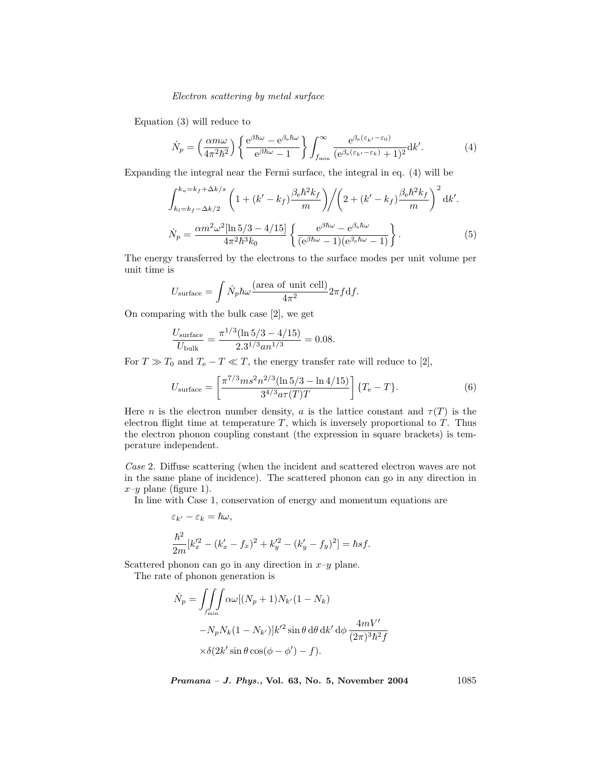# Electron scattering by metal surface

Equation (3) will reduce to

$$
\dot{N}_p = \left(\frac{\alpha m\omega}{4\pi^2\hbar^2}\right) \left\{ \frac{e^{\beta\hbar\omega} - e^{\beta_e\hbar\omega}}{e^{\beta\hbar\omega} - 1} \right\} \int_{f_{\rm min}}^{\infty} \frac{e^{\beta_e(\varepsilon_{k'} - \varepsilon_0)}}{(e^{\beta_e(\varepsilon_{k'} - \varepsilon_k)} + 1)^2} dk'.
$$
\n(4)

Expanding the integral near the Fermi surface, the integral in eq. (4) will be

$$
\int_{k_l=k_f-\Delta k/2}^{k_u=k_f+\Delta k/s} \left(1+(k'-k_f)\frac{\beta_e \hbar^2 k_f}{m}\right) \Bigg/ \left(2+(k'-k_f)\frac{\beta_e \hbar^2 k_f}{m}\right)^2 \mathrm{d}k'.
$$
\n
$$
\dot{N}_p = \frac{\alpha m^2 \omega^2 [\ln 5/3 - 4/15]}{4\pi^2 \hbar^3 k_0} \left\{ \frac{e^{\beta \hbar \omega} - e^{\beta_e \hbar \omega}}{(e^{\beta \hbar \omega} - 1)(e^{\beta_e \hbar \omega} - 1)} \right\}.
$$
\n(5)

The energy transferred by the electrons to the surface modes per unit volume per unit time is

$$
U_{\text{surface}} = \int \dot{N}_p \hbar \omega \frac{\text{(area of unit cell)}}{4\pi^2} 2\pi f \, \text{d}f.
$$

On comparing with the bulk case [2], we get

$$
\frac{U_{\text{surface}}}{U_{\text{bulk}}} = \frac{\pi^{1/3} (\ln 5/3 - 4/15)}{2.3^{1/3} an^{1/3}} = 0.08.
$$

For  $T \gg T_0$  and  $T_e - T \ll T$ , the energy transfer rate will reduce to [2],

$$
U_{\text{surface}} = \left[\frac{\pi^{7/3} m s^2 n^{2/3} (\ln 5/3 - \ln 4/15)}{3^{4/3} a \tau(T) T}\right] \{T_e - T\}.
$$
 (6)

Here *n* is the electron number density, *a* is the lattice constant and  $\tau(T)$  is the electron flight time at temperature  $T$ , which is inversely proportional to  $T$ . Thus the electron phonon coupling constant (the expression in square brackets) is temperature independent.

Case 2. Diffuse scattering (when the incident and scattered electron waves are not in the same plane of incidence). The scattered phonon can go in any direction in  $x-y$  plane (figure 1).

In line with Case 1, conservation of energy and momentum equations are

$$
\varepsilon_{k'} - \varepsilon_k = \hbar \omega,
$$
  

$$
\frac{\hbar^2}{2m} [k_x'^2 - (k_x' - f_x)^2 + k_y'^2 - (k_y' - f_y)^2] = \hbar s f.
$$

Scattered phonon can go in any direction in  $x-y$  plane.

The rate of phonon generation is

$$
\dot{N}_p = \iiint_{f_{\min}} \alpha \omega [(N_p + 1)N_{k'}(1 - N_k) - N_p N_k(1 - N_{k'})] k'^2 \sin \theta \, d\theta \, dk' \, d\phi \, \frac{4mV'}{(2\pi)^3 \hbar^2 f} \times \delta (2k' \sin \theta \cos(\phi - \phi') - f).
$$

Pramana - J. Phys., Vol. 63, No. 5, November 2004 1085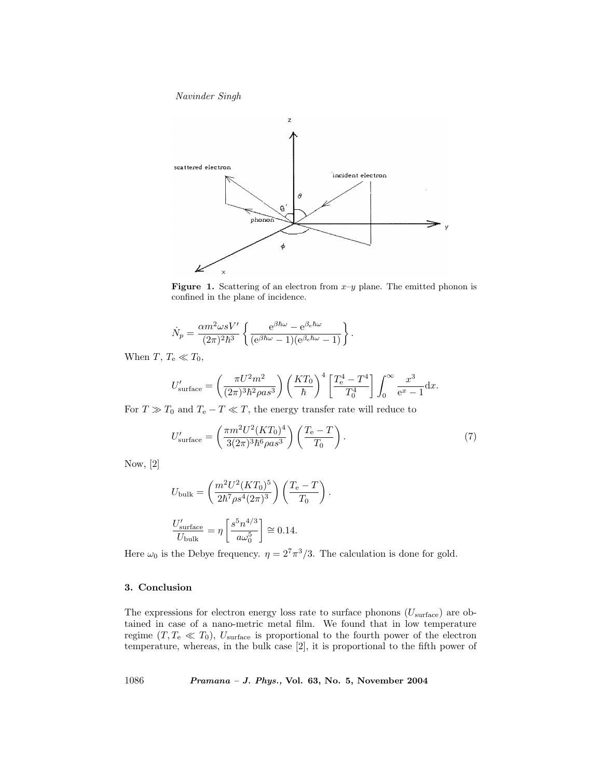Navinder Singh



**Figure 1.** Scattering of an electron from  $x-y$  plane. The emitted phonon is confined in the plane of incidence.

$$
\dot{N}_p=\frac{\alpha m^2\omega s V'}{(2\pi)^2\hbar^3}\left\{\frac{\mathrm{e}^{\beta\hbar\omega}-\mathrm{e}^{\beta_\mathrm{e}\hbar\omega}}{(\mathrm{e}^{\beta\hbar\omega}-1)(\mathrm{e}^{\beta_\mathrm{e}\hbar\omega}-1)}\right\}.
$$

When T,  $T_e \ll T_0$ ,

$$
U'_{\text{surface}} = \left(\frac{\pi U^2 m^2}{(2\pi)^3 \hbar^2 \rho a s^3}\right) \left(\frac{KT_0}{\hbar}\right)^4 \left[\frac{T_e^4 - T^4}{T_0^4}\right] \int_0^\infty \frac{x^3}{e^x - 1} dx.
$$

For  $T \gg T_0$  and  $T_e - T \ll T$ , the energy transfer rate will reduce to

$$
U'_{\text{surface}} = \left(\frac{\pi m^2 U^2 (KT_0)^4}{3(2\pi)^3 \hbar^6 \rho a s^3}\right) \left(\frac{T_e - T}{T_0}\right). \tag{7}
$$

.

Now, [2]

$$
U_{\text{bulk}} = \left(\frac{m^2 U^2 (KT_0)^5}{2\hbar^7 \rho s^4 (2\pi)^3}\right) \left(\frac{T_e - T}{T_0}\right)
$$
  

$$
\frac{U'_{\text{surface}}}{U_{\text{bulk}}} = \eta \left[\frac{s^5 n^{4/3}}{a\omega_0^5}\right] \approx 0.14.
$$

Here  $\omega_0$  is the Debye frequency.  $\eta = 2^7 \pi^3 / 3$ . The calculation is done for gold.

# 3. Conclusion

The expressions for electron energy loss rate to surface phonons  $(U_{\text{surface}})$  are obtained in case of a nano-metric metal film. We found that in low temperature regime  $(T, T_e \ll T_0)$ ,  $U_{\text{surface}}$  is proportional to the fourth power of the electron temperature, whereas, in the bulk case [2], it is proportional to the fifth power of

1086 Pramana – J. Phys., Vol. 63, No. 5, November 2004